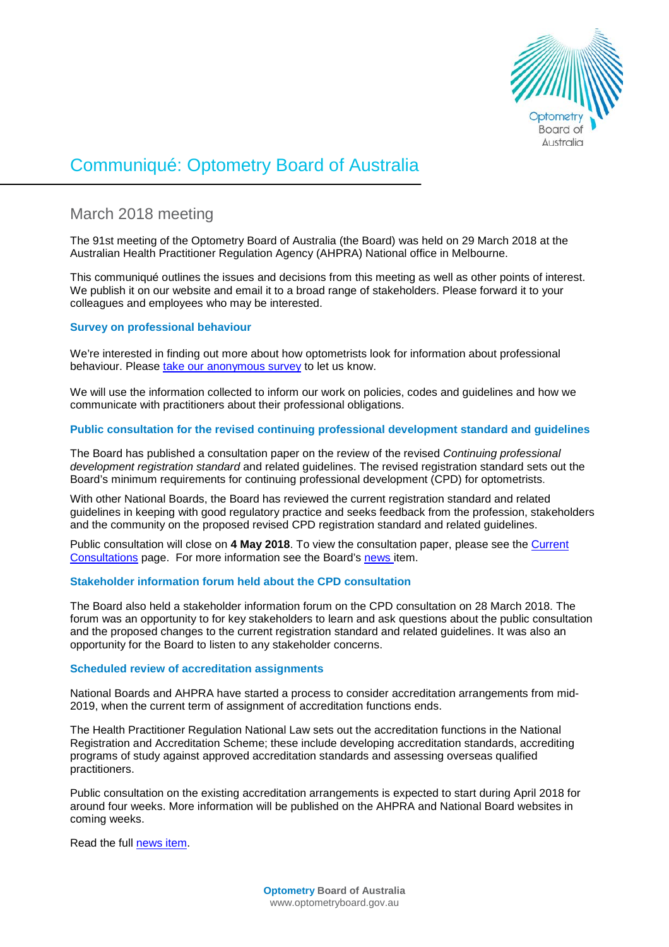

# Communiqué: Optometry Board of Australia

# March 2018 meeting

The 91st meeting of the Optometry Board of Australia (the Board) was held on 29 March 2018 at the Australian Health Practitioner Regulation Agency (AHPRA) National office in Melbourne.

This communiqué outlines the issues and decisions from this meeting as well as other points of interest. We publish it on our website and email it to a broad range of stakeholders. Please forward it to your colleagues and employees who may be interested.

# **Survey on professional behaviour**

We're interested in finding out more about how optometrists look for information about professional behaviour. Please [take our anonymous survey](https://ahpra.au1.qualtrics.com/jfe/form/SV_bJkDKcBZeezW3VH) to let us know.

We will use the information collected to inform our work on policies, codes and guidelines and how we communicate with practitioners about their professional obligations.

# **Public consultation for the revised continuing professional development standard and guidelines**

The Board has published a consultation paper on the review of the revised *Continuing professional development registration standard* and related guidelines. The revised registration standard sets out the Board's minimum requirements for continuing professional development (CPD) for optometrists.

With other National Boards, the Board has reviewed the current registration standard and related guidelines in keeping with good regulatory practice and seeks feedback from the profession, stakeholders and the community on the proposed revised CPD registration standard and related guidelines.

Public consultation will close on **4 May 2018**. To view the consultation paper, please see the [Current](http://www.optometryboard.gov.au/News/Current-Consultations.aspx)  [Consultations](http://www.optometryboard.gov.au/News/Current-Consultations.aspx) page. For more information see the Board's [news it](http://www.optometryboard.gov.au/News/2018-03-19-consultation.aspx)em.

# **Stakeholder information forum held about the CPD consultation**

The Board also held a stakeholder information forum on the CPD consultation on 28 March 2018. The forum was an opportunity to for key stakeholders to learn and ask questions about the public consultation and the proposed changes to the current registration standard and related guidelines. It was also an opportunity for the Board to listen to any stakeholder concerns.

#### **Scheduled review of accreditation assignments**

National Boards and AHPRA have started a process to consider accreditation arrangements from mid-2019, when the current term of assignment of accreditation functions ends.

The Health Practitioner Regulation National Law sets out the accreditation functions in the National Registration and Accreditation Scheme; these include developing accreditation standards, accrediting programs of study against approved accreditation standards and assessing overseas qualified practitioners.

Public consultation on the existing accreditation arrangements is expected to start during April 2018 for around four weeks. More information will be published on the AHPRA and National Board websites in coming weeks.

Read the full [news item.](http://www.optometryboard.gov.au/News/2018-03-27-Accreditation-assignments.aspx)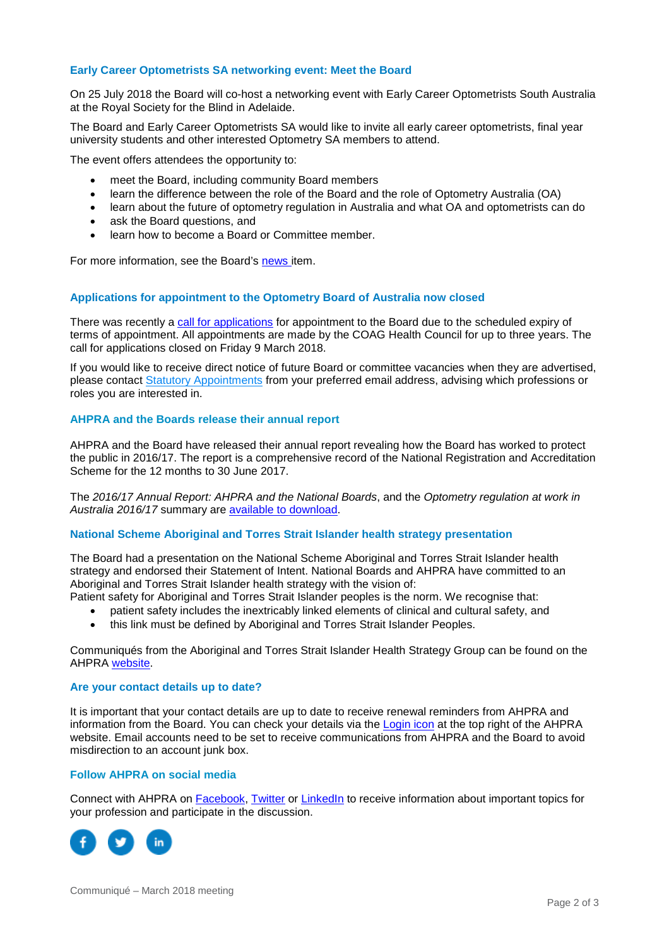### **Early Career Optometrists SA networking event: Meet the Board**

On 25 July 2018 the Board will co-host a networking event with Early Career Optometrists South Australia at the Royal Society for the Blind in Adelaide.

The Board and Early Career Optometrists SA would like to invite all early career optometrists, final year university students and other interested Optometry SA members to attend.

The event offers attendees the opportunity to:

- meet the Board, including community Board members
- learn the difference between the role of the Board and the role of Optometry Australia (OA)
- learn about the future of optometry regulation in Australia and what OA and optometrists can do
- ask the Board questions, and
- learn how to become a Board or Committee member.

For more information, see the Board's [news i](http://www.optometryboard.gov.au/News/2018-03-13-sa-meet-the-board-event.aspx)tem.

#### **Applications for appointment to the Optometry Board of Australia now closed**

There was recently a [call for applications](http://www.optometryboard.gov.au/News/2017-01-12-call-for-applications-nb.aspx) for appointment to the Board due to the scheduled expiry of terms of appointment. All appointments are made by the COAG Health Council for up to three years. The call for applications closed on Friday 9 March 2018.

If you would like to receive direct notice of future Board or committee vacancies when they are advertised, please contact [Statutory Appointments](mailto:statutoryappointments@ahpra.gov.au) from your preferred email address, advising which professions or roles you are interested in.

#### **AHPRA and the Boards release their annual report**

AHPRA and the Board have released their annual report revealing how the Board has worked to protect the public in 2016/17. The report is a comprehensive record of the National Registration and Accreditation Scheme for the 12 months to 30 June 2017.

The *2016/17 Annual Report: AHPRA and the National Boards*, and the *Optometry regulation at work in Australia 2016/17* summary are [available to download.](http://www.ahpra.gov.au/annualreport/2017/downloads.html)

#### **National Scheme Aboriginal and Torres Strait Islander health strategy presentation**

The Board had a presentation on the National Scheme Aboriginal and Torres Strait Islander health strategy and endorsed their Statement of Intent. National Boards and AHPRA have committed to an Aboriginal and Torres Strait Islander health strategy with the vision of:

Patient safety for Aboriginal and Torres Strait Islander peoples is the norm. We recognise that:

- patient safety includes the inextricably linked elements of clinical and cultural safety, and
- this link must be defined by Aboriginal and Torres Strait Islander Peoples.

Communiqués from the Aboriginal and Torres Strait Islander Health Strategy Group can be found on the AHPRA [website.](http://www.ahpra.gov.au/About-AHPRA/Advisory-groups/ATSI-Health-Strategy-Advisory-Group/Communiques.aspx)

#### **Are your contact details up to date?**

It is important that your contact details are up to date to receive renewal reminders from AHPRA and information from the Board. You can check your details via the [Login icon](https://www.ahpra.gov.au/) at the top right of the AHPRA website. Email accounts need to be set to receive communications from AHPRA and the Board to avoid misdirection to an account junk box.

#### **Follow AHPRA on social media**

Connect with AHPRA on [Facebook,](https://www.facebook.com/ahpra.gov.au/) [Twitter](https://twitter.com/AHPRA) or [LinkedIn](https://www.linkedin.com/company/australian-health-practitioner-regulation-agency) to receive information about important topics for your profession and participate in the discussion.